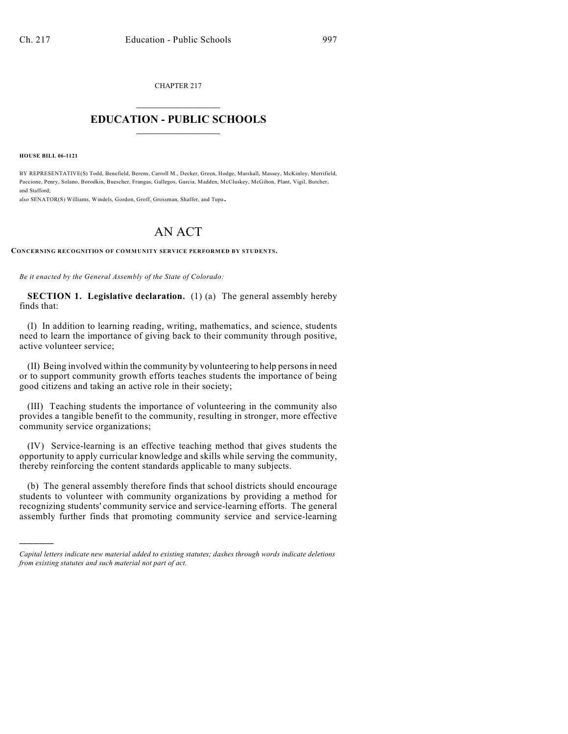CHAPTER 217  $\overline{\phantom{a}}$  . The set of the set of the set of the set of the set of the set of the set of the set of the set of the set of the set of the set of the set of the set of the set of the set of the set of the set of the set o

## **EDUCATION - PUBLIC SCHOOLS**  $\_$   $\_$   $\_$   $\_$   $\_$   $\_$   $\_$   $\_$   $\_$

**HOUSE BILL 06-1121**

)))))

BY REPRESENTATIVE(S) Todd, Benefield, Berens, Carroll M., Decker, Green, Hodge, Marshall, Massey, McKinley, Merrifield, Paccione, Penry, Solano, Borodkin, Buescher, Frangas, Gallegos, Garcia, Madden, McCluskey, McGihon, Plant, Vigil, Butcher, and Stafford;

also SENATOR(S) Williams, Windels, Gordon, Groff, Grossman, Shaffer, and Tupa.

## AN ACT

**CONCERNING RECOGNITION OF COMMUNITY SERVICE PERFORMED BY STUDENTS.**

*Be it enacted by the General Assembly of the State of Colorado:*

**SECTION 1. Legislative declaration.** (1) (a) The general assembly hereby finds that:

(I) In addition to learning reading, writing, mathematics, and science, students need to learn the importance of giving back to their community through positive, active volunteer service;

(II) Being involved within the community by volunteering to help persons in need or to support community growth efforts teaches students the importance of being good citizens and taking an active role in their society;

(III) Teaching students the importance of volunteering in the community also provides a tangible benefit to the community, resulting in stronger, more effective community service organizations;

(IV) Service-learning is an effective teaching method that gives students the opportunity to apply curricular knowledge and skills while serving the community, thereby reinforcing the content standards applicable to many subjects.

(b) The general assembly therefore finds that school districts should encourage students to volunteer with community organizations by providing a method for recognizing students' community service and service-learning efforts. The general assembly further finds that promoting community service and service-learning

*Capital letters indicate new material added to existing statutes; dashes through words indicate deletions from existing statutes and such material not part of act.*